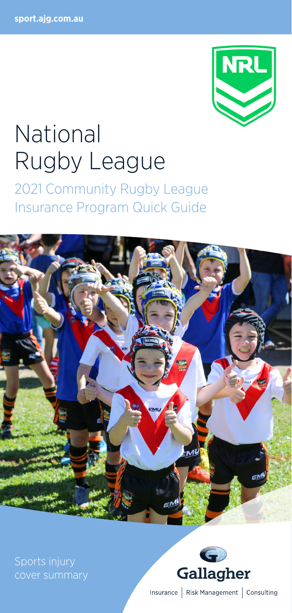

# National Rugby League

2021 Community Rugby League Insurance Program Quick Guide



Sports injury cover summary



Insurance | Risk Management | Consulting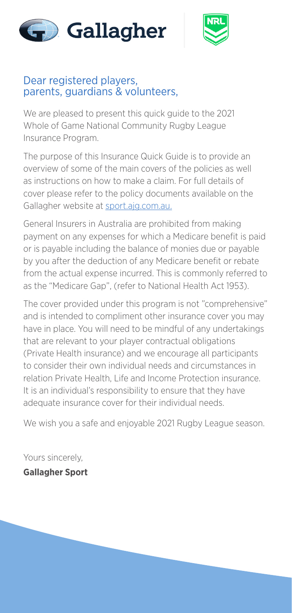



## Dear registered players. parents, guardians & volunteers,

We are pleased to present this quick guide to the 2021 Whole of Game National Community Rugby League Insurance Program.

The purpose of this Insurance Quick Guide is to provide an overview of some of the main covers of the policies as well as instructions on how to make a claim. For full details of cover please refer to the policy documents available on the Gallagher website at [sport.ajg.com.au.](http://sport.ajg.com.au.)

General Insurers in Australia are prohibited from making payment on any expenses for which a Medicare benefit is paid or is payable including the balance of monies due or payable by you after the deduction of any Medicare benefit or rebate from the actual expense incurred. This is commonly referred to as the "Medicare Gap", (refer to National Health Act 1953).

The cover provided under this program is not "comprehensive" and is intended to compliment other insurance cover you may have in place. You will need to be mindful of any undertakings that are relevant to your player contractual obligations (Private Health insurance) and we encourage all participants to consider their own individual needs and circumstances in relation Private Health, Life and Income Protection insurance. It is an individual's responsibility to ensure that they have adequate insurance cover for their individual needs.

We wish you a safe and enjoyable 2021 Rugby League season.

Yours sincerely, **Gallagher Sport**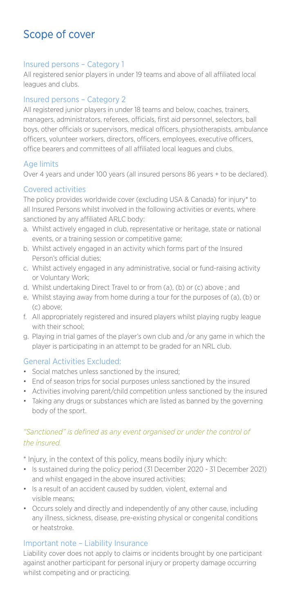# Scope of cover

#### Insured persons – Category 1

All registered senior players in under 19 teams and above of all affiliated local leagues and clubs.

#### Insured persons – Category 2

All registered junior players in under 18 teams and below, coaches, trainers, managers, administrators, referees, officials, first aid personnel, selectors, ball boys, other officials or supervisors, medical officers, physiotherapists, ambulance officers, volunteer workers, directors, officers, employees, executive officers, office bearers and committees of all affiliated local leagues and clubs.

#### Age limits

Over 4 years and under 100 years (all insured persons 86 years + to be declared).

#### Covered activities

The policy provides worldwide cover (excluding USA & Canada) for injury\* to all Insured Persons whilst involved in the following activities or events, where sanctioned by any affiliated ARLC body:

- a. Whilst actively engaged in club, representative or heritage, state or national events, or a training session or competitive game;
- b. Whilst actively engaged in an activity which forms part of the Insured Person's official duties;
- c. Whilst actively engaged in any administrative, social or fund-raising activity or Voluntary Work;
- d. Whilst undertaking Direct Travel to or from (a), (b) or (c) above ; and
- e. Whilst staying away from home during a tour for the purposes of (a), (b) or (c) above;
- f. All appropriately registered and insured players whilst playing rugby league with their school:
- g. Playing in trial games of the player's own club and /or any game in which the player is participating in an attempt to be graded for an NRL club.

#### General Activities Excluded:

- Social matches unless sanctioned by the insured;
- End of season trips for social purposes unless sanctioned by the insured
- Activities involving parent/child competition unless sanctioned by the insured
- Taking any drugs or substances which are listed as banned by the governing body of the sport.

#### *"Sanctioned" is defined as any event organised or under the control of the insured.*

\* Injury, in the context of this policy, means bodily injury which:

- Is sustained during the policy period (31 December 2020 31 December 2021) and whilst engaged in the above insured activities;
- Is a result of an accident caused by sudden, violent, external and visible means;
- Occurs solely and directly and independently of any other cause, including any illness, sickness, disease, pre-existing physical or congenital conditions or heatstroke.

#### Important note – Liability Insurance

Liability cover does not apply to claims or incidents brought by one participant against another participant for personal injury or property damage occurring whilst competing and or practicing.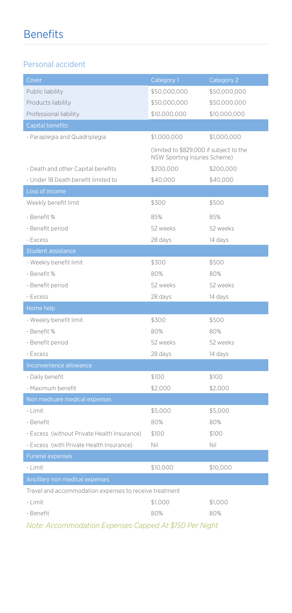# Benefits

#### Personal accident

| Cover                                                  | Category 1                                                               | Category 2   |  |  |  |  |
|--------------------------------------------------------|--------------------------------------------------------------------------|--------------|--|--|--|--|
| Public liability                                       | \$50,000,000                                                             | \$50,000,000 |  |  |  |  |
| Products liability                                     | \$50,000,000                                                             | \$50,000,000 |  |  |  |  |
| Professional liability                                 | \$10,000,000                                                             | \$10,000,000 |  |  |  |  |
| <b>Capital benefits</b>                                |                                                                          |              |  |  |  |  |
| - Paraplegia and Quadriplegia                          | \$1,000,000                                                              | \$1,000,000  |  |  |  |  |
|                                                        | (limited to \$829,000 if subject to the<br>NSW Sporting Injuries Scheme) |              |  |  |  |  |
| - Death and other Capital benefits                     | \$200,000                                                                | \$200,000    |  |  |  |  |
| - Under 18 Death benefit limited to                    | \$40,000                                                                 | \$40,000     |  |  |  |  |
| Loss of income                                         |                                                                          |              |  |  |  |  |
| Weekly benefit limit                                   | \$300                                                                    | \$500        |  |  |  |  |
| - Benefit %                                            | 85%                                                                      | 85%          |  |  |  |  |
| - Benefit period                                       | 52 weeks                                                                 | 52 weeks     |  |  |  |  |
| - Excess                                               | 28 days                                                                  | 14 days      |  |  |  |  |
| Student assistance                                     |                                                                          |              |  |  |  |  |
| - Weekly benefit limit                                 | \$300                                                                    | \$500        |  |  |  |  |
| - Benefit %                                            | 80%                                                                      | 80%          |  |  |  |  |
| - Benefit period                                       | 52 weeks                                                                 | 52 weeks     |  |  |  |  |
| - Excess                                               | 28 days                                                                  | 14 days      |  |  |  |  |
| Home help                                              |                                                                          |              |  |  |  |  |
| - Weekly benefit limit                                 | \$300                                                                    | \$500        |  |  |  |  |
| - Benefit %                                            | 80%                                                                      | 80%          |  |  |  |  |
| - Benefit period                                       | 52 weeks                                                                 | 52 weeks     |  |  |  |  |
| - Excess                                               | 28 days                                                                  | 14 days      |  |  |  |  |
| Inconvenience allowance                                |                                                                          |              |  |  |  |  |
| - Daily benefit                                        | \$100                                                                    | \$100        |  |  |  |  |
| - Maximum benefit                                      | \$2,000                                                                  | \$2,000      |  |  |  |  |
| Non medicare medical expenses                          |                                                                          |              |  |  |  |  |
| - Limit                                                | \$5,000                                                                  | \$5,000      |  |  |  |  |
| - Benefit                                              | 80%                                                                      | 80%          |  |  |  |  |
| - Excess (without Private Health Insurance)            | \$100                                                                    | \$100        |  |  |  |  |
| - Excess (with Private Health Insurance)               | Nil                                                                      | Nil          |  |  |  |  |
| <b>Funeral expenses</b>                                |                                                                          |              |  |  |  |  |
| - Limit                                                | \$10,000                                                                 | \$10,000     |  |  |  |  |
| Ancillary non medical expenses                         |                                                                          |              |  |  |  |  |
| Travel and accommodation expenses to receive treatment |                                                                          |              |  |  |  |  |
| - Limit                                                | \$1,000                                                                  | \$1,000      |  |  |  |  |
| - Benefit                                              | 80%                                                                      | 80%          |  |  |  |  |

*Note: Accommodation Expenses Capped At \$150 Per Night.*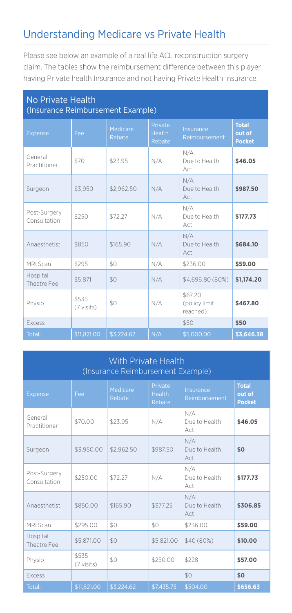# Understanding Medicare vs Private Health

Please see below an example of a real life ACL reconstruction surgery claim. The tables show the reimbursement difference between this player having Private health Insurance and not having Private Health Insurance.

| No Private Health<br>(Insurance Reimbursement Example) |                     |                    |                                    |                                      |                                         |  |  |
|--------------------------------------------------------|---------------------|--------------------|------------------------------------|--------------------------------------|-----------------------------------------|--|--|
| Expense                                                | Fee                 | Medicare<br>Rebate | Private<br><b>Health</b><br>Rebate | Insurance<br>Reimbursement           | <b>Total</b><br>out of<br><b>Pocket</b> |  |  |
| General<br>Practitioner                                | \$70                | \$23.95            | N/A                                | N/A<br>Due to Health<br>Act          | \$46.05                                 |  |  |
| Surgeon                                                | \$3.950             | \$2.962.50         | N/A                                | N/A<br>Due to Health<br>Act          | \$987.50                                |  |  |
| Post-Surgery<br>Consultation                           | \$250               | \$72.27            | N/A                                | N/A<br>Due to Health<br>Act          | \$177.73                                |  |  |
| Anaesthetist                                           | \$850               | \$165.90           | N/A                                | N/A<br>Due to Health<br>Act          | \$684.10                                |  |  |
| MRI Scan                                               | \$295               | \$0                | N/A                                | \$236.00                             | \$59.00                                 |  |  |
| Hospital<br>Theatre Fee                                | \$5.871             | \$0                | N/A                                | \$4,696.80 (80%)                     | \$1,174.20                              |  |  |
| Physio                                                 | \$535<br>(7 visits) | \$0                | N/A                                | \$67.20<br>(policy limit<br>reached) | \$467.80                                |  |  |
| Excess                                                 |                     |                    |                                    | \$50                                 | \$50                                    |  |  |
| Total:                                                 | \$11,821.00         | \$3,224.62         | N/A                                | \$5,000.00                           | \$3,646.38                              |  |  |

#### With Private Health (Insurance Reimbursement Example)

| Expense                      | Fee                 | Medicare<br>Rebate | Private<br><b>Health</b><br>Rebate | Insurance<br>Reimbursement  | <b>Total</b><br>out of<br><b>Pocket</b> |
|------------------------------|---------------------|--------------------|------------------------------------|-----------------------------|-----------------------------------------|
| General<br>Practitioner      | \$70.00             | \$23.95            | N/A                                | N/A<br>Due to Health<br>Act | \$46.05                                 |
| Surgeon                      | \$3,950.00          | \$2,962.50         | \$987.50                           | N/A<br>Due to Health<br>Act | \$0                                     |
| Post-Surgery<br>Consultation | \$250.00            | \$72.27            | N/A                                | N/A<br>Due to Health<br>Act | \$177.73                                |
| Anaesthetist                 | \$850.00            | \$165.90           | \$377.25                           | N/A<br>Due to Health<br>Act | \$306.85                                |
| MRI Scan                     | \$295.00            | \$0                | \$0                                | \$236.00                    | \$59.00                                 |
| Hospital<br>Theatre Fee      | \$5,871.00          | \$0                | \$5,821.00                         | \$40 (80%)                  | \$10,00                                 |
| Physio                       | \$535<br>(7 visits) | \$0                | \$250.00                           | \$228                       | \$57.00                                 |
| Excess                       |                     |                    |                                    | \$0                         | \$0                                     |
| Total:                       | \$11,821.00         | \$3,224.62         | \$7,435.75                         | \$504.00                    | \$656.63                                |